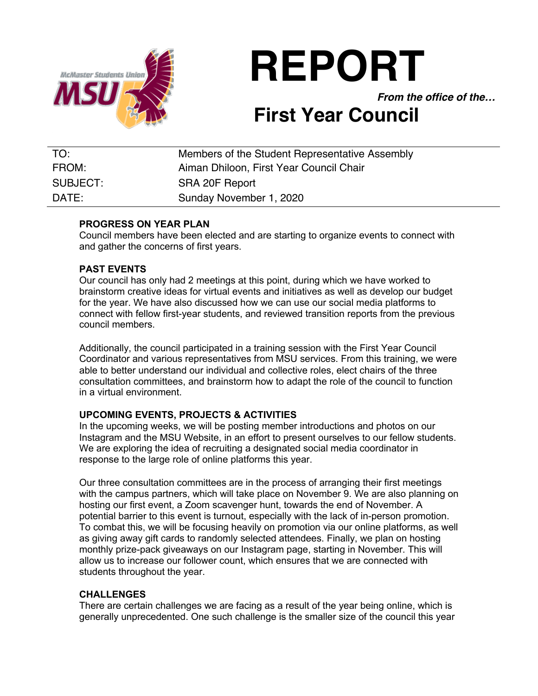

**REPORT**

*From the office of the…*

# **First Year Council**

| TO:      | Members of the Student Representative Assembly |
|----------|------------------------------------------------|
| FROM:    | Aiman Dhiloon, First Year Council Chair        |
| SUBJECT: | SRA 20F Report                                 |
| DATE:    | Sunday November 1, 2020                        |

## **PROGRESS ON YEAR PLAN**

Council members have been elected and are starting to organize events to connect with and gather the concerns of first years.

## **PAST EVENTS**

Our council has only had 2 meetings at this point, during which we have worked to brainstorm creative ideas for virtual events and initiatives as well as develop our budget for the year. We have also discussed how we can use our social media platforms to connect with fellow first-year students, and reviewed transition reports from the previous council members.

Additionally, the council participated in a training session with the First Year Council Coordinator and various representatives from MSU services. From this training, we were able to better understand our individual and collective roles, elect chairs of the three consultation committees, and brainstorm how to adapt the role of the council to function in a virtual environment.

## **UPCOMING EVENTS, PROJECTS & ACTIVITIES**

In the upcoming weeks, we will be posting member introductions and photos on our Instagram and the MSU Website, in an effort to present ourselves to our fellow students. We are exploring the idea of recruiting a designated social media coordinator in response to the large role of online platforms this year.

Our three consultation committees are in the process of arranging their first meetings with the campus partners, which will take place on November 9. We are also planning on hosting our first event, a Zoom scavenger hunt, towards the end of November. A potential barrier to this event is turnout, especially with the lack of in-person promotion. To combat this, we will be focusing heavily on promotion via our online platforms, as well as giving away gift cards to randomly selected attendees. Finally, we plan on hosting monthly prize-pack giveaways on our Instagram page, starting in November. This will allow us to increase our follower count, which ensures that we are connected with students throughout the year.

#### **CHALLENGES**

There are certain challenges we are facing as a result of the year being online, which is generally unprecedented. One such challenge is the smaller size of the council this year